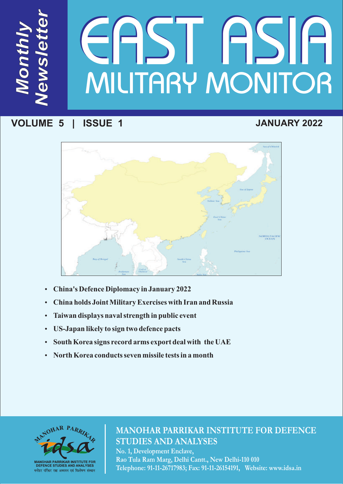# MILITARY MONITOR **FASTA**

# **VOLUME 5 | ISSUE 1**

*M*

*N*

*e*

*ws*

*le*

*te*

*<sup>r</sup>*

*t*

*o*

*n*

*th*

*ly* 

# **JANUARY 2022**



- 
- ??**China's Defence Diplomacy in January 2022** ?**China holds Joint Military Exercises with Iran and Russia**
- ?**Taiwan displays naval strength in public event**
- 
- ?**US-Japan likely to sign two defence pacts** ?**South Korea signs record arms export deal with the UAE**
- **North Korea conducts seven missile tests in a month**



# **MANOHAR PARRIKAR INSTITUTE FOR DEFENCE STUDIES AND ANALYSES**

**No. 1, Development Enclave, Rao Tula Ram Marg, Delhi Cantt., New Delhi-110 010 Telephone: 91-11-26717983; Fax: 91-11-26154191, Website: www.idsa.in**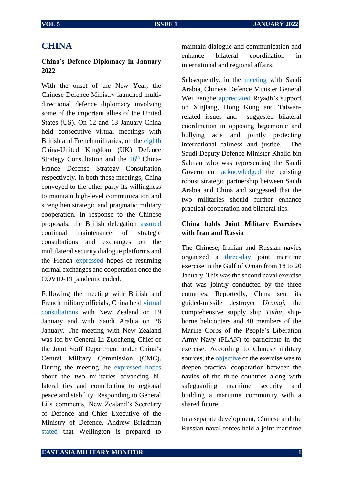## **CHINA**

### **China's Defence Diplomacy in January 2022**

With the onset of the New Year, the Chinese Defence Ministry launched multidirectional defence diplomacy involving some of the important allies of the United States (US). On 12 and 13 January China held consecutive virtual meetings with British and French militaries, on the [eighth](http://eng.mod.gov.cn/news/2022-01/12/content_4902851.htm) China-United Kingdom (UK) Defence Strategy Consultation and the  $16<sup>th</sup> China 16<sup>th</sup> China-$ France Defense Strategy Consultation respectively. In both these meetings, China conveyed to the other party its willingness to maintain high-level communication and strengthen strategic and pragmatic military cooperation. In response to the Chinese proposals, the British delegation [assured](http://eng.mod.gov.cn/news/2022-01/12/content_4902851.htm) continual maintenance of strategic consultations and exchanges on the multilateral security dialogue platforms and the French [expressed](http://english.chinamil.com.cn/view/2022-01/13/content_10123265.htm) hopes of resuming normal exchanges and cooperation once the COVID-19 pandemic ended.

Following the meeting with British and French military officials, China held [virtual](http://english.chinamil.com.cn/view/2022-01/19/content_10124662.htm)  [consultations](http://english.chinamil.com.cn/view/2022-01/19/content_10124662.htm) with New Zealand on 19 January and with Saudi Arabia on 26 January. The meeting with New Zealand was led by General Li Zuocheng, Chief of the Joint Staff Department under China's Central Military Commission (CMC). During the meeting, he [expressed hopes](http://english.chinamil.com.cn/view/2022-01/19/content_10124662.htm) about the two militaries advancing bilateral ties and contributing to regional peace and stability. Responding to General Li's comments, New Zealand's Secretary of Defence and Chief Executive of the Ministry of Defence, Andrew Brigdman [stated](http://english.chinamil.com.cn/view/2022-01/19/content_10124662.htm) that Wellington is prepared to maintain dialogue and communication and enhance bilateral coordination in international and regional affairs.

Subsequently, in the [meeting](http://english.chinamil.com.cn/view/2022-01/26/content_10126627.htm) with Saudi Arabia, Chinese Defence Minister General Wei Fenghe [appreciated](http://english.chinamil.com.cn/view/2022-01/26/content_10126627.htm) Riyadh's support on Xinjiang, Hong Kong and Taiwanrelated issues and suggested bilateral coordination in opposing hegemonic and bullying acts and jointly protecting international fairness and justice. The Saudi Deputy Defence Minister Khalid bin Salman who was representing the Saudi Government [acknowledged](http://english.chinamil.com.cn/view/2022-01/26/content_10126627.htm) the existing robust strategic partnership between Saudi Arabia and China and suggested that the two militaries should further enhance practical cooperation and bilateral ties.

## **China holds Joint Military Exercises with Iran and Russia**

The Chinese, Iranian and Russian navies organized a [three-day](http://english.chinamil.com.cn/view/2022-01/20/content_10125041.htm) joint maritime exercise in the Gulf of Oman from 18 to 20 January. This was the second naval exercise that was jointly conducted by the three countries. Reportedly, China sent its guided-missile destroyer *Urumqi,* the comprehensive supply ship *Taihu*, shipborne helicopters and 40 members of the Marine Corps of the People's Liberation Army Navy (PLAN) to participate in the exercise. According to Chinese military sources, the [objective](http://english.chinamil.com.cn/view/2022-01/20/content_10125041.htm) of the exercise was to deepen practical cooperation between the navies of the three countries along with safeguarding maritime security and building a maritime community with a shared future.

In a separate development, Chinese and the Russian naval forces held a joint maritime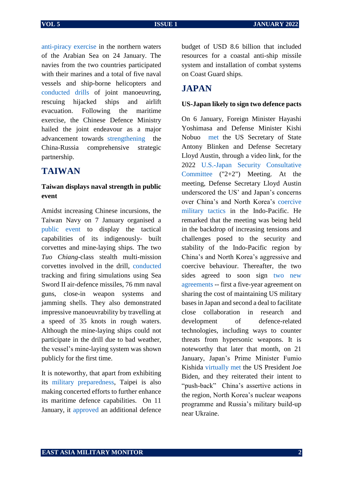[anti-piracy exercise](https://d.docs.live.net/d02ad37ffb30f161/Documents/MP-IDSA%20work/East%20Asia%20Military%20Monitor/drills%20of%20joint%20maneuvering,%20rescuing%20hijacked%20ships,%20and%20airlift%20evacuation%20of%20the%20wounded) in the northern waters of the Arabian Sea on 24 January. The navies from the two countries participated with their marines and a total of five naval vessels and ship-borne helicopters and [conducted](file:///C:/Users/Mayur/AppData/Roaming/Microsoft/Word/drills%20of%20joint%20maneuvering,%20rescuing%20hijacked%20ships,%20and%20airlift%20evacuation%20of%20the%20wounded) drills of joint manoeuvring, rescuing hijacked ships and airlift evacuation. Following the maritime exercise, the Chinese Defence Ministry hailed the joint endeavour as a major advancement towards [strengthening](http://eng.mod.gov.cn/news/2022-01/25/content_4903554.htm#:~:text=Ministry%20of%20National%20Defense,-Home&text=On%20January%2024%2C%202022%2C%20the,participated%20in%20the%20joint%20exercise.) the China-Russia comprehensive strategic partnership.

# **TAIWAN**

## **Taiwan displays naval strength in public event**

Amidst increasing Chinese incursions, the Taiwan Navy on 7 January organised a [public event](https://www.taipeitimes.com/News/taiwan/archives/2022/01/08/2003770971) to display the tactical capabilities of its indigenously- built corvettes and mine-laying ships. The two *Tuo Chiang*-class stealth multi-mission corvettes involved in the drill, [conducted](https://www.taipeitimes.com/News/taiwan/archives/2022/01/08/2003770971) tracking and firing simulations using Sea Sword II air-defence missiles, 76 mm naval guns, close-in weapon systems and jamming shells. They also demonstrated impressive manoeuvrability by travelling at a speed of 35 knots in rough waters. Although the mine-laying ships could not participate in the drill due to bad weather, the vessel's mine-laying system was shown publicly for the first time.

It is noteworthy, that apart from exhibiting its [military preparedness,](https://www.rfa.org/english/news/china/taiwan-drills-01102022142322.html#:~:text=Over%20the%20weekend%2C%20the%20Taiwanese,the%20ministry) Taipei is also making concerted efforts to further enhance its maritime defence capabilities. On 11 January, it [approved](https://www.aljazeera.com/news/2022/1/11/taiwan-passes-extra-defence-budget-as-china-threat-grows) an additional defence

budget of USD 8.6 billion that included resources for a coastal anti-ship missile system and installation of combat systems on Coast Guard ships.

# **JAPAN**

#### **US-Japan likely to sign two defence pacts**

On 6 January, Foreign Minister Hayashi Yoshimasa and Defense Minister Kishi Nobuo [met](https://apnews.com/article/coronavirus-pandemic-health-japan-united-states-north-korea-5a4232f54b5a3b796225da9efeb2d83e) the US Secretary of State Antony Blinken and Defense Secretary Lloyd Austin, through a video link, for the 2022 [U.S.-Japan Security Consultative](https://www.defense.gov/News/News-Stories/Article/Article/2889505/austin-looking-forward-to-discussions-with-japanese-counterpart/#:~:text=Blinken%20and%20Secretary%20of%20Defense,2%2B2%22)%20Meeting.)  [Committee](https://www.defense.gov/News/News-Stories/Article/Article/2889505/austin-looking-forward-to-discussions-with-japanese-counterpart/#:~:text=Blinken%20and%20Secretary%20of%20Defense,2%2B2%22)%20Meeting.) ("2+2") Meeting. At the meeting, Defense Secretary Lloyd Austin underscored the US' and Japan's concerns over China's and North Korea's [coercive](https://apnews.com/article/coronavirus-pandemic-health-japan-united-states-north-korea-5a4232f54b5a3b796225da9efeb2d83e)  [military tactics](https://apnews.com/article/coronavirus-pandemic-health-japan-united-states-north-korea-5a4232f54b5a3b796225da9efeb2d83e) in the Indo-Pacific. He remarked that the meeting was being held in the backdrop of increasing tensions and challenges posed to the security and stability of the Indo-Pacific region by China's and North Korea's aggressive and coercive behaviour. Thereafter, the two sides agreed to soon sign [two new](https://apnews.com/article/coronavirus-pandemic-health-japan-united-states-north-korea-5a4232f54b5a3b796225da9efeb2d83e)  [agreements](https://apnews.com/article/coronavirus-pandemic-health-japan-united-states-north-korea-5a4232f54b5a3b796225da9efeb2d83e) -- first a five-year agreement on sharing the cost of maintaining US military bases in Japan and second a deal to facilitate close collaboration in research and development of defence-related technologies, including ways to counter threats from hypersonic weapons. It is noteworthy that later that month, on 21 January, Japan's Prime Minister Fumio Kishida [virtually met](https://www.japantimes.co.jp/news/2022/01/22/national/politics-diplomacy/fumio-kishida-joe-biden-online-meeting/) the US President Joe Biden, and they reiterated their intent to "push-back" China's assertive actions in the region, North Korea's nuclear weapons programme and Russia's military build-up near Ukraine.